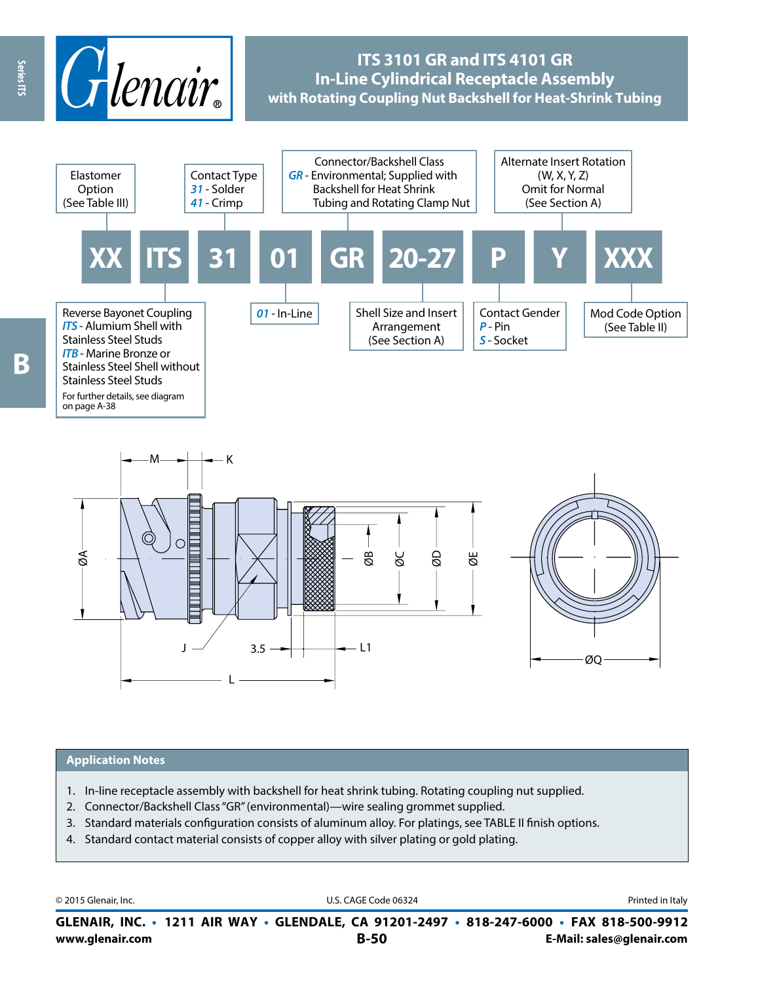

# **ITS 3101 GR and ITS 4101 GR In-Line Cylindrical Receptacle Assembly with Rotating Coupling Nut Backshell for Heat-Shrink Tubing**





#### **Application Notes**

- 1. In-line receptacle assembly with backshell for heat shrink tubing. Rotating coupling nut supplied.
- 2. Connector/Backshell Class "GR" (environmental)—wire sealing grommet supplied.
- 3. Standard materials configuration consists of aluminum alloy. For platings, see TABLE II finish options.
- 4. Standard contact material consists of copper alloy with silver plating or gold plating.

© 2015 Glenair, Inc. **Discription Construction Construction Construction Construction Construction Construction Construction Construction Construction Construction Construction Construction Construction Construction Constr** 

**www.glenair.com B-50 E-Mail: sales@glenair.com GLENAIR, INC. • 1211 AIR WAY • GLENDALE, CA 91201-2497 • 818-247-6000 • FAX 818-500-9912**

Series ITS